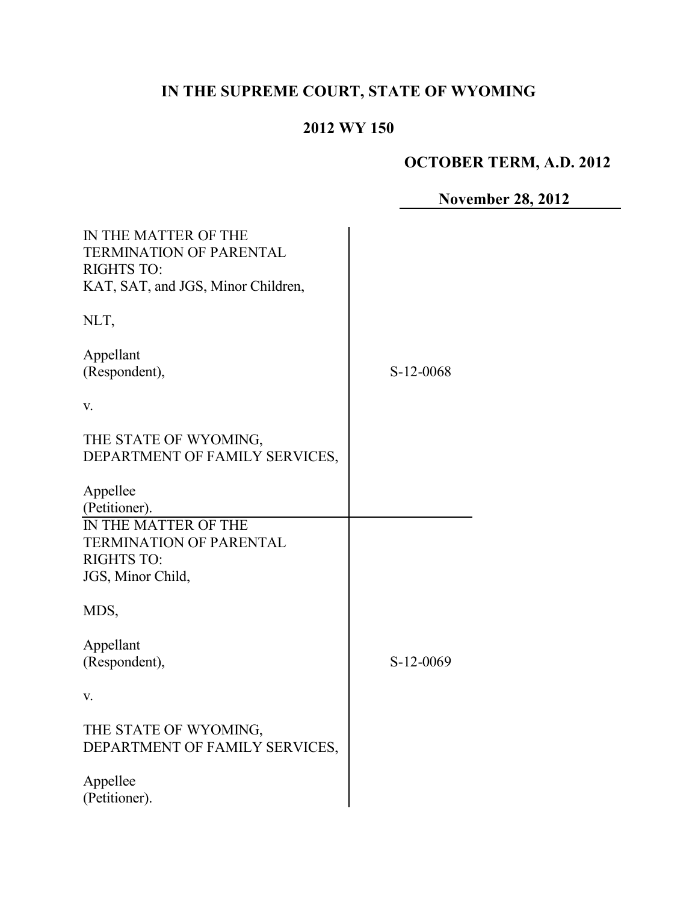# **IN THE SUPREME COURT, STATE OF WYOMING**

# **2012 WY 150**

# **OCTOBER TERM, A.D. 2012**

**November 28, 2012**

| IN THE MATTER OF THE<br><b>TERMINATION OF PARENTAL</b><br><b>RIGHTS TO:</b><br>KAT, SAT, and JGS, Minor Children, |           |
|-------------------------------------------------------------------------------------------------------------------|-----------|
| NLT,                                                                                                              |           |
| Appellant<br>(Respondent),                                                                                        | S-12-0068 |
| V.                                                                                                                |           |
| THE STATE OF WYOMING,<br>DEPARTMENT OF FAMILY SERVICES,                                                           |           |
| Appellee<br>(Petitioner).                                                                                         |           |
| <b>IN THE MATTER OF THE</b><br>TERMINATION OF PARENTAL                                                            |           |
| <b>RIGHTS TO:</b>                                                                                                 |           |
| JGS, Minor Child,                                                                                                 |           |
| MDS,                                                                                                              |           |
| Appellant                                                                                                         |           |
| (Respondent),                                                                                                     | S-12-0069 |
| V.                                                                                                                |           |
| THE STATE OF WYOMING,<br>DEPARTMENT OF FAMILY SERVICES,                                                           |           |
| Appellee<br>(Petitioner).                                                                                         |           |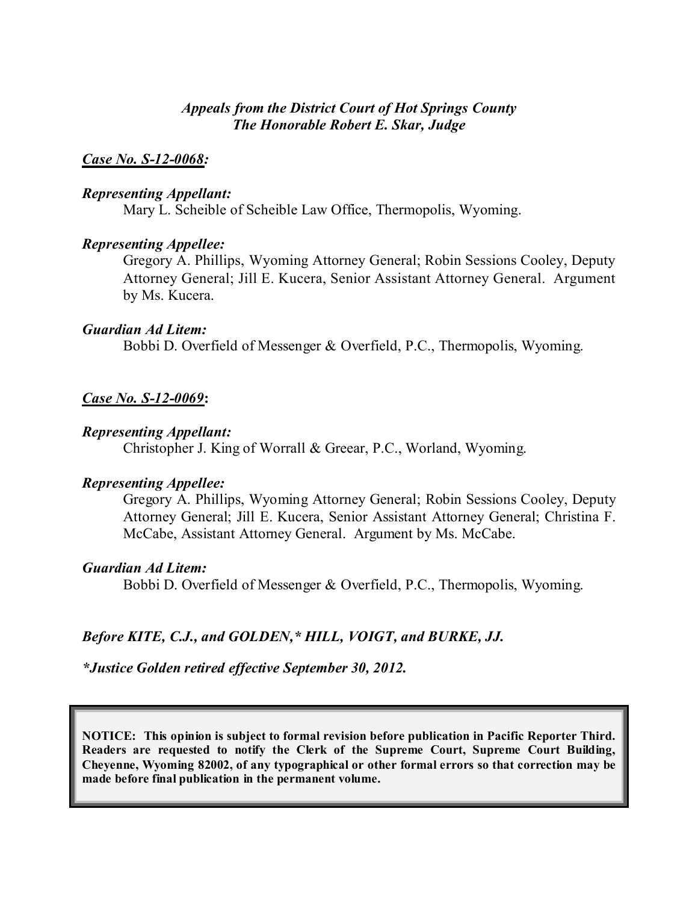## *Appeals from the District Court of Hot Springs County The Honorable Robert E. Skar, Judge*

#### *Case No. S-12-0068:*

#### *Representing Appellant:*

Mary L. Scheible of Scheible Law Office, Thermopolis, Wyoming.

#### *Representing Appellee:*

Gregory A. Phillips, Wyoming Attorney General; Robin Sessions Cooley, Deputy Attorney General; Jill E. Kucera, Senior Assistant Attorney General. Argument by Ms. Kucera.

#### *Guardian Ad Litem:*

Bobbi D. Overfield of Messenger & Overfield, P.C., Thermopolis, Wyoming.

#### *Case No. S-12-0069***:**

#### *Representing Appellant:*

Christopher J. King of Worrall & Greear, P.C., Worland, Wyoming.

#### *Representing Appellee:*

Gregory A. Phillips, Wyoming Attorney General; Robin Sessions Cooley, Deputy Attorney General; Jill E. Kucera, Senior Assistant Attorney General; Christina F. McCabe, Assistant Attorney General. Argument by Ms. McCabe.

#### *Guardian Ad Litem:*

Bobbi D. Overfield of Messenger & Overfield, P.C., Thermopolis, Wyoming.

### *Before KITE, C.J., and GOLDEN,\* HILL, VOIGT, and BURKE, JJ.*

*\*Justice Golden retired effective September 30, 2012.*

**NOTICE: This opinion is subject to formal revision before publication in Pacific Reporter Third. Readers are requested to notify the Clerk of the Supreme Court, Supreme Court Building, Cheyenne, Wyoming 82002, of any typographical or other formal errors so that correction may be made before final publication in the permanent volume.**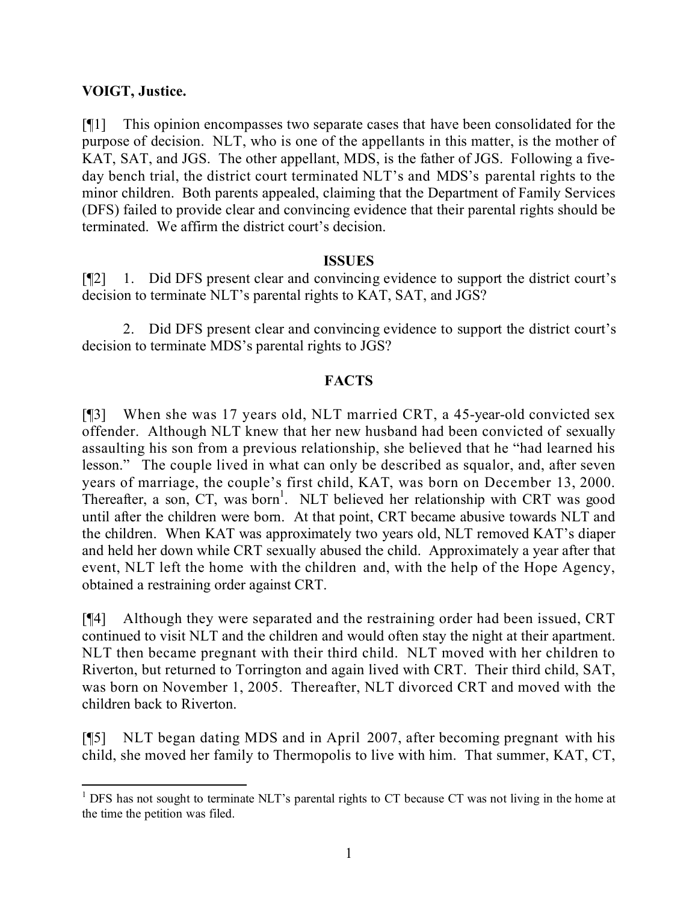## **VOIGT, Justice.**

l

[¶1] This opinion encompasses two separate cases that have been consolidated for the purpose of decision. NLT, who is one of the appellants in this matter, is the mother of KAT, SAT, and JGS. The other appellant, MDS, is the father of JGS. Following a fiveday bench trial, the district court terminated NLT's and MDS's parental rights to the minor children. Both parents appealed, claiming that the Department of Family Services (DFS) failed to provide clear and convincing evidence that their parental rights should be terminated. We affirm the district court's decision.

## **ISSUES**

[¶2] 1. Did DFS present clear and convincing evidence to support the district court's decision to terminate NLT's parental rights to KAT, SAT, and JGS?

2. Did DFS present clear and convincing evidence to support the district court's decision to terminate MDS's parental rights to JGS?

## **FACTS**

[¶3] When she was 17 years old, NLT married CRT, a 45-year-old convicted sex offender. Although NLT knew that her new husband had been convicted of sexually assaulting his son from a previous relationship, she believed that he "had learned his lesson." The couple lived in what can only be described as squalor, and, after seven years of marriage, the couple's first child, KAT, was born on December 13, 2000. Thereafter, a son, CT, was born<sup>1</sup>. NLT believed her relationship with CRT was good until after the children were born. At that point, CRT became abusive towards NLT and the children. When KAT was approximately two years old, NLT removed KAT's diaper and held her down while CRT sexually abused the child. Approximately a year after that event, NLT left the home with the children and, with the help of the Hope Agency, obtained a restraining order against CRT.

[¶4] Although they were separated and the restraining order had been issued, CRT continued to visit NLT and the children and would often stay the night at their apartment. NLT then became pregnant with their third child. NLT moved with her children to Riverton, but returned to Torrington and again lived with CRT. Their third child, SAT, was born on November 1, 2005. Thereafter, NLT divorced CRT and moved with the children back to Riverton.

[¶5] NLT began dating MDS and in April 2007, after becoming pregnant with his child, she moved her family to Thermopolis to live with him. That summer, KAT, CT,

<sup>&</sup>lt;sup>1</sup> DFS has not sought to terminate NLT's parental rights to CT because CT was not living in the home at the time the petition was filed.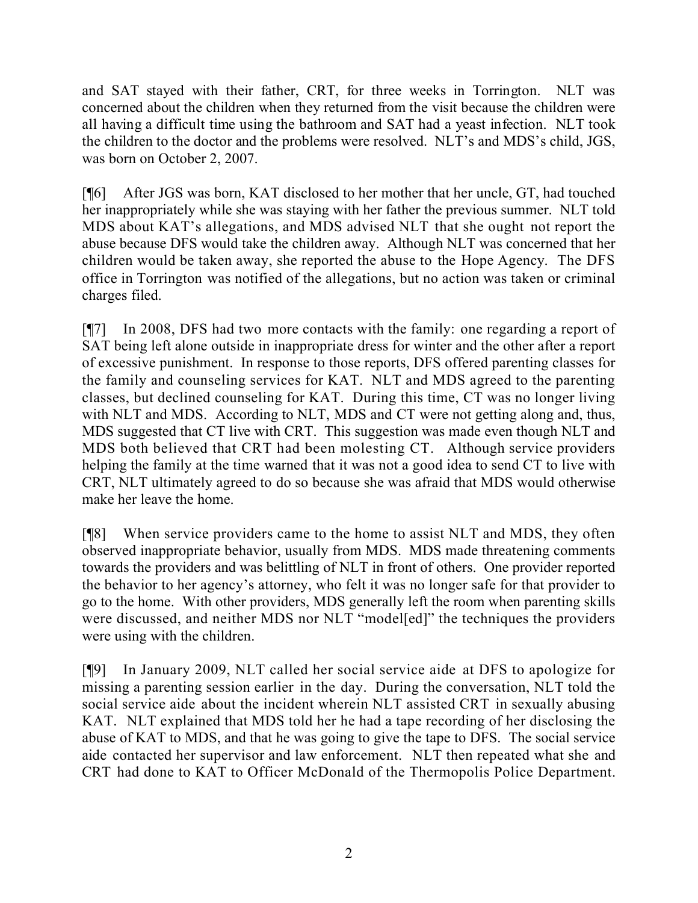and SAT stayed with their father, CRT, for three weeks in Torrington. NLT was concerned about the children when they returned from the visit because the children were all having a difficult time using the bathroom and SAT had a yeast infection. NLT took the children to the doctor and the problems were resolved. NLT's and MDS's child, JGS, was born on October 2, 2007.

[¶6] After JGS was born, KAT disclosed to her mother that her uncle, GT, had touched her inappropriately while she was staying with her father the previous summer. NLT told MDS about KAT's allegations, and MDS advised NLT that she ought not report the abuse because DFS would take the children away. Although NLT was concerned that her children would be taken away, she reported the abuse to the Hope Agency. The DFS office in Torrington was notified of the allegations, but no action was taken or criminal charges filed.

[¶7] In 2008, DFS had two more contacts with the family: one regarding a report of SAT being left alone outside in inappropriate dress for winter and the other after a report of excessive punishment. In response to those reports, DFS offered parenting classes for the family and counseling services for KAT. NLT and MDS agreed to the parenting classes, but declined counseling for KAT. During this time, CT was no longer living with NLT and MDS. According to NLT, MDS and CT were not getting along and, thus, MDS suggested that CT live with CRT. This suggestion was made even though NLT and MDS both believed that CRT had been molesting CT. Although service providers helping the family at the time warned that it was not a good idea to send CT to live with CRT, NLT ultimately agreed to do so because she was afraid that MDS would otherwise make her leave the home.

[¶8] When service providers came to the home to assist NLT and MDS, they often observed inappropriate behavior, usually from MDS. MDS made threatening comments towards the providers and was belittling of NLT in front of others. One provider reported the behavior to her agency's attorney, who felt it was no longer safe for that provider to go to the home. With other providers, MDS generally left the room when parenting skills were discussed, and neither MDS nor NLT "model[ed]" the techniques the providers were using with the children.

[¶9] In January 2009, NLT called her social service aide at DFS to apologize for missing a parenting session earlier in the day. During the conversation, NLT told the social service aide about the incident wherein NLT assisted CRT in sexually abusing KAT. NLT explained that MDS told her he had a tape recording of her disclosing the abuse of KAT to MDS, and that he was going to give the tape to DFS. The social service aide contacted her supervisor and law enforcement. NLT then repeated what she and CRT had done to KAT to Officer McDonald of the Thermopolis Police Department.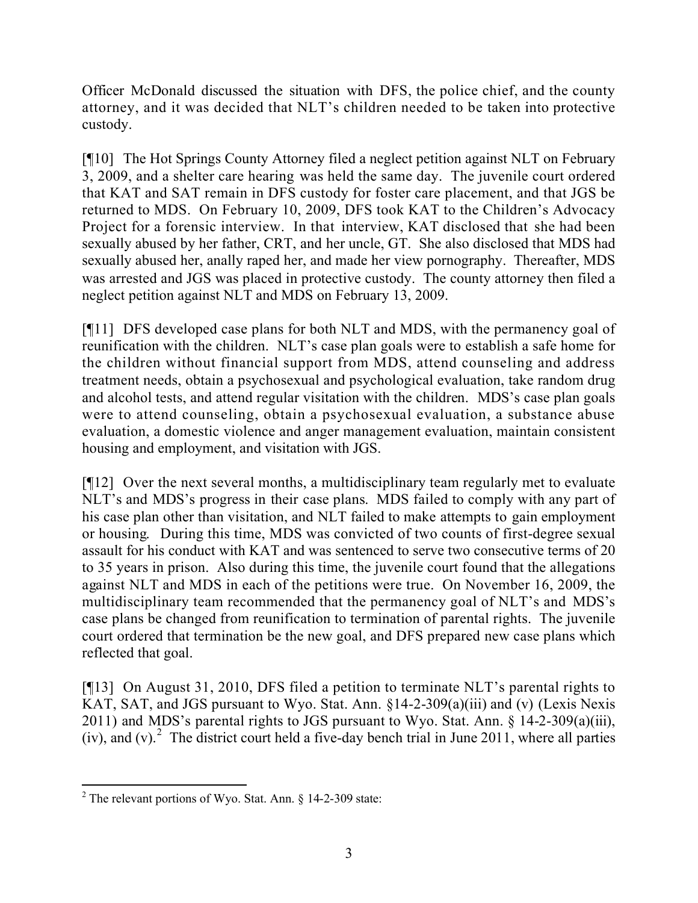Officer McDonald discussed the situation with DFS, the police chief, and the county attorney, and it was decided that NLT's children needed to be taken into protective custody.

[¶10] The Hot Springs County Attorney filed a neglect petition against NLT on February 3, 2009, and a shelter care hearing was held the same day. The juvenile court ordered that KAT and SAT remain in DFS custody for foster care placement, and that JGS be returned to MDS. On February 10, 2009, DFS took KAT to the Children's Advocacy Project for a forensic interview. In that interview, KAT disclosed that she had been sexually abused by her father, CRT, and her uncle, GT. She also disclosed that MDS had sexually abused her, anally raped her, and made her view pornography. Thereafter, MDS was arrested and JGS was placed in protective custody. The county attorney then filed a neglect petition against NLT and MDS on February 13, 2009.

[¶11] DFS developed case plans for both NLT and MDS, with the permanency goal of reunification with the children. NLT's case plan goals were to establish a safe home for the children without financial support from MDS, attend counseling and address treatment needs, obtain a psychosexual and psychological evaluation, take random drug and alcohol tests, and attend regular visitation with the children. MDS's case plan goals were to attend counseling, obtain a psychosexual evaluation, a substance abuse evaluation, a domestic violence and anger management evaluation, maintain consistent housing and employment, and visitation with JGS.

[¶12] Over the next several months, a multidisciplinary team regularly met to evaluate NLT's and MDS's progress in their case plans. MDS failed to comply with any part of his case plan other than visitation, and NLT failed to make attempts to gain employment or housing. During this time, MDS was convicted of two counts of first-degree sexual assault for his conduct with KAT and was sentenced to serve two consecutive terms of 20 to 35 years in prison. Also during this time, the juvenile court found that the allegations against NLT and MDS in each of the petitions were true. On November 16, 2009, the multidisciplinary team recommended that the permanency goal of NLT's and MDS's case plans be changed from reunification to termination of parental rights. The juvenile court ordered that termination be the new goal, and DFS prepared new case plans which reflected that goal.

[¶13] On August 31, 2010, DFS filed a petition to terminate NLT's parental rights to KAT, SAT, and JGS pursuant to Wyo. Stat. Ann. §14-2-309(a)(iii) and (v) (Lexis Nexis 2011) and MDS's parental rights to JGS pursuant to Wyo. Stat. Ann. § 14-2-309(a)(iii), (iv), and (v).<sup>2</sup> The district court held a five-day bench trial in June 2011, where all parties

l <sup>2</sup> The relevant portions of Wyo. Stat. Ann.  $\S$  14-2-309 state: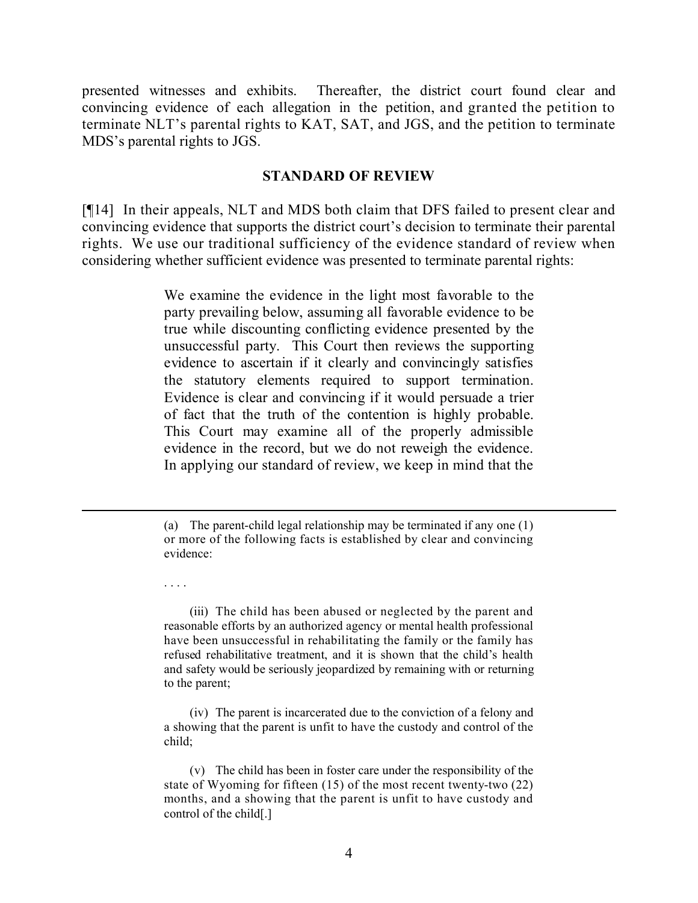presented witnesses and exhibits. Thereafter, the district court found clear and convincing evidence of each allegation in the petition, and granted the petition to terminate NLT's parental rights to KAT, SAT, and JGS, and the petition to terminate MDS's parental rights to JGS.

#### **STANDARD OF REVIEW**

[¶14] In their appeals, NLT and MDS both claim that DFS failed to present clear and convincing evidence that supports the district court's decision to terminate their parental rights. We use our traditional sufficiency of the evidence standard of review when considering whether sufficient evidence was presented to terminate parental rights:

> We examine the evidence in the light most favorable to the party prevailing below, assuming all favorable evidence to be true while discounting conflicting evidence presented by the unsuccessful party. This Court then reviews the supporting evidence to ascertain if it clearly and convincingly satisfies the statutory elements required to support termination. Evidence is clear and convincing if it would persuade a trier of fact that the truth of the contention is highly probable. This Court may examine all of the properly admissible evidence in the record, but we do not reweigh the evidence. In applying our standard of review, we keep in mind that the

l

. . . .

(iii) The child has been abused or neglected by the parent and reasonable efforts by an authorized agency or mental health professional have been unsuccessful in rehabilitating the family or the family has refused rehabilitative treatment, and it is shown that the child's health and safety would be seriously jeopardized by remaining with or returning to the parent;

(iv) The parent is incarcerated due to the conviction of a felony and a showing that the parent is unfit to have the custody and control of the child;

<sup>(</sup>a) The parent-child legal relationship may be terminated if any one (1) or more of the following facts is established by clear and convincing evidence:

<sup>(</sup>v) The child has been in foster care under the responsibility of the state of Wyoming for fifteen (15) of the most recent twenty-two (22) months, and a showing that the parent is unfit to have custody and control of the child[.]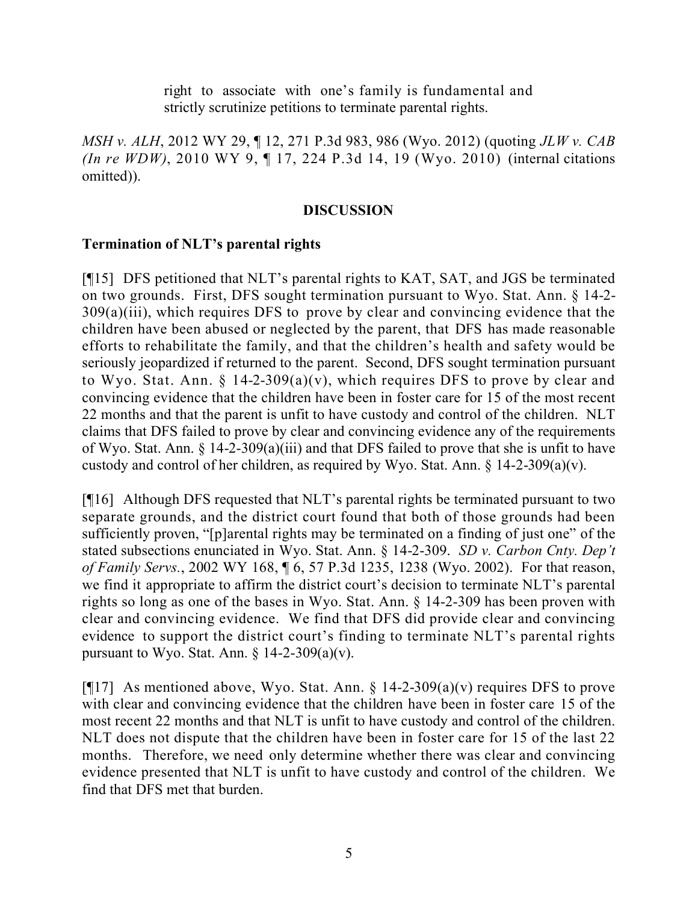right to associate with one's family is fundamental and strictly scrutinize petitions to terminate parental rights.

*MSH v. ALH*, 2012 WY 29, ¶ 12, 271 P.3d 983, 986 (Wyo. 2012) (quoting *JLW v. CAB (In re WDW)*, 2010 WY 9, ¶ 17, 224 P.3d 14, 19 (Wyo. 2010) (internal citations omitted)).

## **DISCUSSION**

## **Termination of NLT's parental rights**

[¶15] DFS petitioned that NLT's parental rights to KAT, SAT, and JGS be terminated on two grounds. First, DFS sought termination pursuant to Wyo. Stat. Ann. § 14-2- 309(a)(iii), which requires DFS to prove by clear and convincing evidence that the children have been abused or neglected by the parent, that DFS has made reasonable efforts to rehabilitate the family, and that the children's health and safety would be seriously jeopardized if returned to the parent. Second, DFS sought termination pursuant to Wyo. Stat. Ann.  $\S$  14-2-309(a)(v), which requires DFS to prove by clear and convincing evidence that the children have been in foster care for 15 of the most recent 22 months and that the parent is unfit to have custody and control of the children. NLT claims that DFS failed to prove by clear and convincing evidence any of the requirements of Wyo. Stat. Ann. § 14-2-309(a)(iii) and that DFS failed to prove that she is unfit to have custody and control of her children, as required by Wyo. Stat. Ann.  $\S$  14-2-309(a)(v).

[¶16] Although DFS requested that NLT's parental rights be terminated pursuant to two separate grounds, and the district court found that both of those grounds had been sufficiently proven, "[p]arental rights may be terminated on a finding of just one" of the stated subsections enunciated in Wyo. Stat. Ann. § 14-2-309. *SD v. Carbon Cnty. Dep't of Family Servs.*, 2002 WY 168, ¶ 6, 57 P.3d 1235, 1238 (Wyo. 2002). For that reason, we find it appropriate to affirm the district court's decision to terminate NLT's parental rights so long as one of the bases in Wyo. Stat. Ann. § 14-2-309 has been proven with clear and convincing evidence. We find that DFS did provide clear and convincing evidence to support the district court's finding to terminate NLT's parental rights pursuant to Wyo. Stat. Ann.  $\frac{1}{2}$  14-2-309(a)(v).

[ $[17]$ ] As mentioned above, Wyo. Stat. Ann. § 14-2-309(a)(v) requires DFS to prove with clear and convincing evidence that the children have been in foster care 15 of the most recent 22 months and that NLT is unfit to have custody and control of the children. NLT does not dispute that the children have been in foster care for 15 of the last 22 months. Therefore, we need only determine whether there was clear and convincing evidence presented that NLT is unfit to have custody and control of the children. We find that DFS met that burden.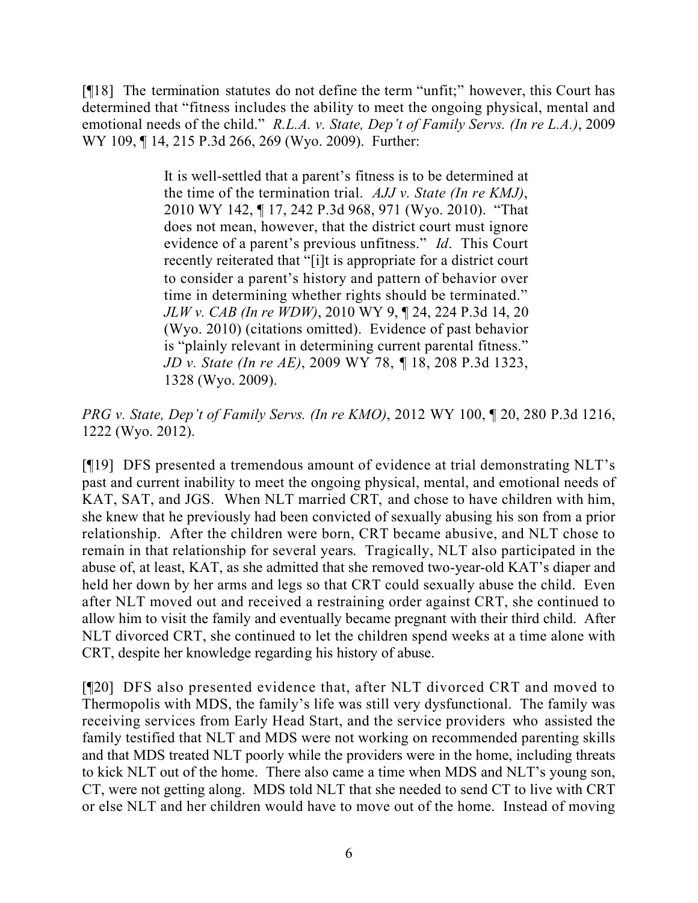[¶18] The termination statutes do not define the term "unfit;" however, this Court has determined that "fitness includes the ability to meet the ongoing physical, mental and emotional needs of the child." *R.L.A. v. State, Dep't of Family Servs. (In re L.A.)*, 2009 WY 109, ¶ 14, 215 P.3d 266, 269 (Wyo. 2009). Further:

> It is well-settled that a parent's fitness is to be determined at the time of the termination trial. *AJJ v. State (In re KMJ)*, 2010 WY 142, ¶ 17, 242 P.3d 968, 971 (Wyo. 2010). "That does not mean, however, that the district court must ignore evidence of a parent's previous unfitness." *Id*. This Court recently reiterated that "[i]t is appropriate for a district court to consider a parent's history and pattern of behavior over time in determining whether rights should be terminated." *JLW v. CAB (In re WDW)*, 2010 WY 9, ¶ 24, 224 P.3d 14, 20 (Wyo. 2010) (citations omitted). Evidence of past behavior is "plainly relevant in determining current parental fitness." *JD v. State (In re AE)*, 2009 WY 78, ¶ 18, 208 P.3d 1323, 1328 (Wyo. 2009).

*PRG v. State, Dep't of Family Servs. (In re KMO)*, 2012 WY 100, ¶ 20, 280 P.3d 1216, 1222 (Wyo. 2012).

[¶19] DFS presented a tremendous amount of evidence at trial demonstrating NLT's past and current inability to meet the ongoing physical, mental, and emotional needs of KAT, SAT, and JGS. When NLT married CRT, and chose to have children with him, she knew that he previously had been convicted of sexually abusing his son from a prior relationship. After the children were born, CRT became abusive, and NLT chose to remain in that relationship for several years. Tragically, NLT also participated in the abuse of, at least, KAT, as she admitted that she removed two-year-old KAT's diaper and held her down by her arms and legs so that CRT could sexually abuse the child. Even after NLT moved out and received a restraining order against CRT, she continued to allow him to visit the family and eventually became pregnant with their third child. After NLT divorced CRT, she continued to let the children spend weeks at a time alone with CRT, despite her knowledge regarding his history of abuse.

[¶20] DFS also presented evidence that, after NLT divorced CRT and moved to Thermopolis with MDS, the family's life was still very dysfunctional. The family was receiving services from Early Head Start, and the service providers who assisted the family testified that NLT and MDS were not working on recommended parenting skills and that MDS treated NLT poorly while the providers were in the home, including threats to kick NLT out of the home. There also came a time when MDS and NLT's young son, CT, were not getting along. MDS told NLT that she needed to send CT to live with CRT or else NLT and her children would have to move out of the home. Instead of moving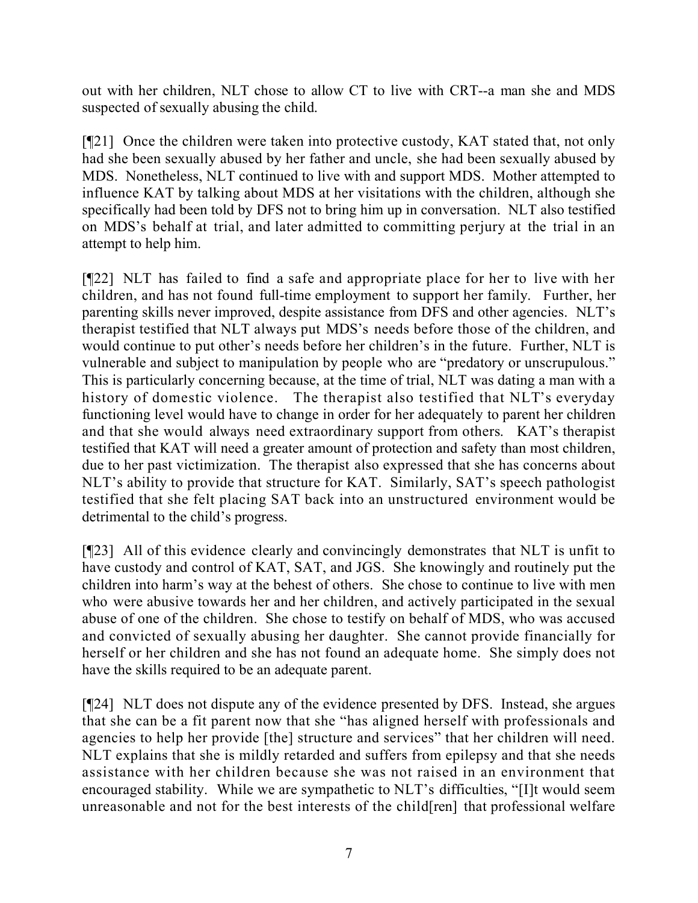out with her children, NLT chose to allow CT to live with CRT--a man she and MDS suspected of sexually abusing the child.

[¶21] Once the children were taken into protective custody, KAT stated that, not only had she been sexually abused by her father and uncle, she had been sexually abused by MDS. Nonetheless, NLT continued to live with and support MDS. Mother attempted to influence KAT by talking about MDS at her visitations with the children, although she specifically had been told by DFS not to bring him up in conversation. NLT also testified on MDS's behalf at trial, and later admitted to committing perjury at the trial in an attempt to help him.

[¶22] NLT has failed to find a safe and appropriate place for her to live with her children, and has not found full-time employment to support her family. Further, her parenting skills never improved, despite assistance from DFS and other agencies. NLT's therapist testified that NLT always put MDS's needs before those of the children, and would continue to put other's needs before her children's in the future. Further, NLT is vulnerable and subject to manipulation by people who are "predatory or unscrupulous." This is particularly concerning because, at the time of trial, NLT was dating a man with a history of domestic violence. The therapist also testified that NLT's everyday functioning level would have to change in order for her adequately to parent her children and that she would always need extraordinary support from others. KAT's therapist testified that KAT will need a greater amount of protection and safety than most children, due to her past victimization. The therapist also expressed that she has concerns about NLT's ability to provide that structure for KAT. Similarly, SAT's speech pathologist testified that she felt placing SAT back into an unstructured environment would be detrimental to the child's progress.

[¶23] All of this evidence clearly and convincingly demonstrates that NLT is unfit to have custody and control of KAT, SAT, and JGS. She knowingly and routinely put the children into harm's way at the behest of others. She chose to continue to live with men who were abusive towards her and her children, and actively participated in the sexual abuse of one of the children. She chose to testify on behalf of MDS, who was accused and convicted of sexually abusing her daughter. She cannot provide financially for herself or her children and she has not found an adequate home. She simply does not have the skills required to be an adequate parent.

[¶24] NLT does not dispute any of the evidence presented by DFS. Instead, she argues that she can be a fit parent now that she "has aligned herself with professionals and agencies to help her provide [the] structure and services" that her children will need. NLT explains that she is mildly retarded and suffers from epilepsy and that she needs assistance with her children because she was not raised in an environment that encouraged stability. While we are sympathetic to NLT's difficulties, "[I]t would seem unreasonable and not for the best interests of the child[ren] that professional welfare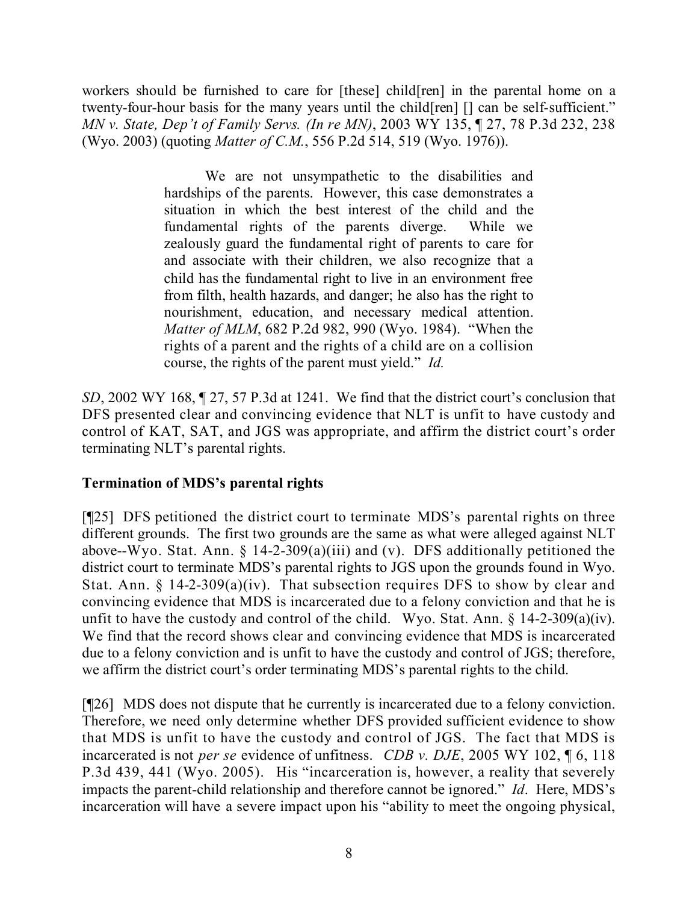workers should be furnished to care for [these] child[ren] in the parental home on a twenty-four-hour basis for the many years until the child[ren] [] can be self-sufficient." *MN v. State, Dep't of Family Servs. (In re MN)*, 2003 WY 135, ¶ 27, 78 P.3d 232, 238 (Wyo. 2003) (quoting *Matter of C.M.*, 556 P.2d 514, 519 (Wyo. 1976)).

> We are not unsympathetic to the disabilities and hardships of the parents. However, this case demonstrates a situation in which the best interest of the child and the fundamental rights of the parents diverge. While we zealously guard the fundamental right of parents to care for and associate with their children, we also recognize that a child has the fundamental right to live in an environment free from filth, health hazards, and danger; he also has the right to nourishment, education, and necessary medical attention. *Matter of MLM*, 682 P.2d 982, 990 (Wyo. 1984). "When the rights of a parent and the rights of a child are on a collision course, the rights of the parent must yield." *Id.*

*SD*, 2002 WY 168, ¶ 27, 57 P.3d at 1241. We find that the district court's conclusion that DFS presented clear and convincing evidence that NLT is unfit to have custody and control of KAT, SAT, and JGS was appropriate, and affirm the district court's order terminating NLT's parental rights.

## **Termination of MDS's parental rights**

[¶25] DFS petitioned the district court to terminate MDS's parental rights on three different grounds. The first two grounds are the same as what were alleged against NLT above--Wyo. Stat. Ann.  $\S$  14-2-309(a)(iii) and (v). DFS additionally petitioned the district court to terminate MDS's parental rights to JGS upon the grounds found in Wyo. Stat. Ann.  $\S$  14-2-309(a)(iv). That subsection requires DFS to show by clear and convincing evidence that MDS is incarcerated due to a felony conviction and that he is unfit to have the custody and control of the child. Wyo. Stat. Ann.  $\S$  14-2-309(a)(iv). We find that the record shows clear and convincing evidence that MDS is incarcerated due to a felony conviction and is unfit to have the custody and control of JGS; therefore, we affirm the district court's order terminating MDS's parental rights to the child.

[¶26] MDS does not dispute that he currently is incarcerated due to a felony conviction. Therefore, we need only determine whether DFS provided sufficient evidence to show that MDS is unfit to have the custody and control of JGS. The fact that MDS is incarcerated is not *per se* evidence of unfitness. *CDB v. DJE*, 2005 WY 102, ¶ 6, 118 P.3d 439, 441 (Wyo. 2005). His "incarceration is, however, a reality that severely impacts the parent-child relationship and therefore cannot be ignored." *Id*. Here, MDS's incarceration will have a severe impact upon his "ability to meet the ongoing physical,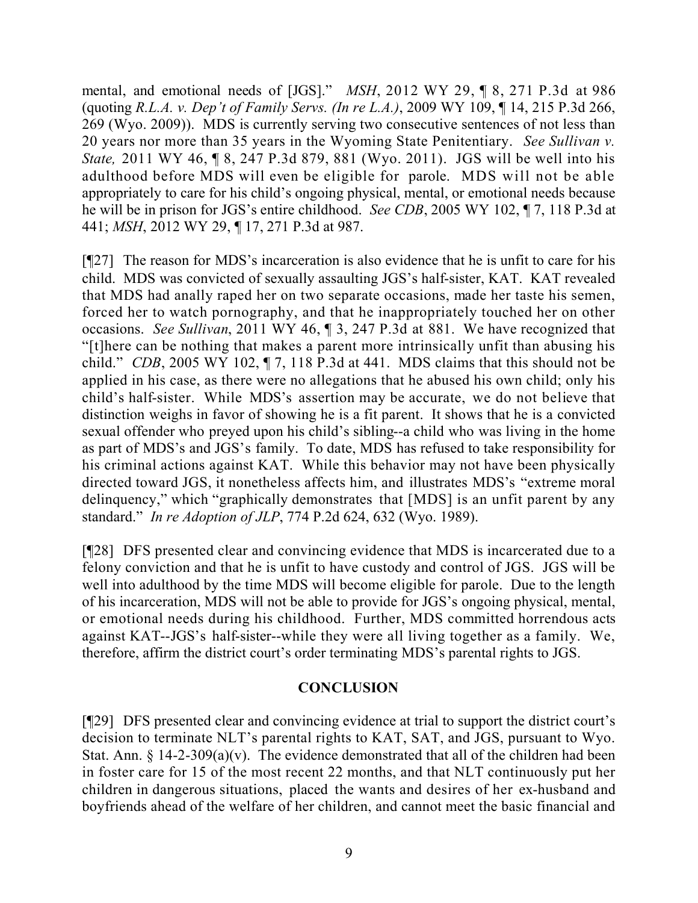mental, and emotional needs of [JGS]." *MSH*, 2012 WY 29, ¶ 8, 271 P.3d at 986 (quoting *R.L.A. v. Dep't of Family Servs. (In re L.A.)*, 2009 WY 109, ¶ 14, 215 P.3d 266, 269 (Wyo. 2009)). MDS is currently serving two consecutive sentences of not less than 20 years nor more than 35 years in the Wyoming State Penitentiary. *See Sullivan v. State,* 2011 WY 46, ¶ 8, 247 P.3d 879, 881 (Wyo. 2011). JGS will be well into his adulthood before MDS will even be eligible for parole. MDS will not be able appropriately to care for his child's ongoing physical, mental, or emotional needs because he will be in prison for JGS's entire childhood. *See CDB*, 2005 WY 102, ¶ 7, 118 P.3d at 441; *MSH*, 2012 WY 29, ¶ 17, 271 P.3d at 987.

[¶27] The reason for MDS's incarceration is also evidence that he is unfit to care for his child. MDS was convicted of sexually assaulting JGS's half-sister, KAT. KAT revealed that MDS had anally raped her on two separate occasions, made her taste his semen, forced her to watch pornography, and that he inappropriately touched her on other occasions. *See Sullivan*, 2011 WY 46, ¶ 3, 247 P.3d at 881. We have recognized that "[t]here can be nothing that makes a parent more intrinsically unfit than abusing his child." *CDB*, 2005 WY 102, ¶ 7, 118 P.3d at 441. MDS claims that this should not be applied in his case, as there were no allegations that he abused his own child; only his child's half-sister. While MDS's assertion may be accurate, we do not believe that distinction weighs in favor of showing he is a fit parent. It shows that he is a convicted sexual offender who preyed upon his child's sibling--a child who was living in the home as part of MDS's and JGS's family. To date, MDS has refused to take responsibility for his criminal actions against KAT. While this behavior may not have been physically directed toward JGS, it nonetheless affects him, and illustrates MDS's "extreme moral delinquency," which "graphically demonstrates that [MDS] is an unfit parent by any standard." *In re Adoption of JLP*, 774 P.2d 624, 632 (Wyo. 1989).

[¶28] DFS presented clear and convincing evidence that MDS is incarcerated due to a felony conviction and that he is unfit to have custody and control of JGS. JGS will be well into adulthood by the time MDS will become eligible for parole. Due to the length of his incarceration, MDS will not be able to provide for JGS's ongoing physical, mental, or emotional needs during his childhood. Further, MDS committed horrendous acts against KAT--JGS's half-sister--while they were all living together as a family. We, therefore, affirm the district court's order terminating MDS's parental rights to JGS.

### **CONCLUSION**

[¶29] DFS presented clear and convincing evidence at trial to support the district court's decision to terminate NLT's parental rights to KAT, SAT, and JGS, pursuant to Wyo. Stat. Ann.  $\S$  14-2-309(a)(v). The evidence demonstrated that all of the children had been in foster care for 15 of the most recent 22 months, and that NLT continuously put her children in dangerous situations, placed the wants and desires of her ex-husband and boyfriends ahead of the welfare of her children, and cannot meet the basic financial and